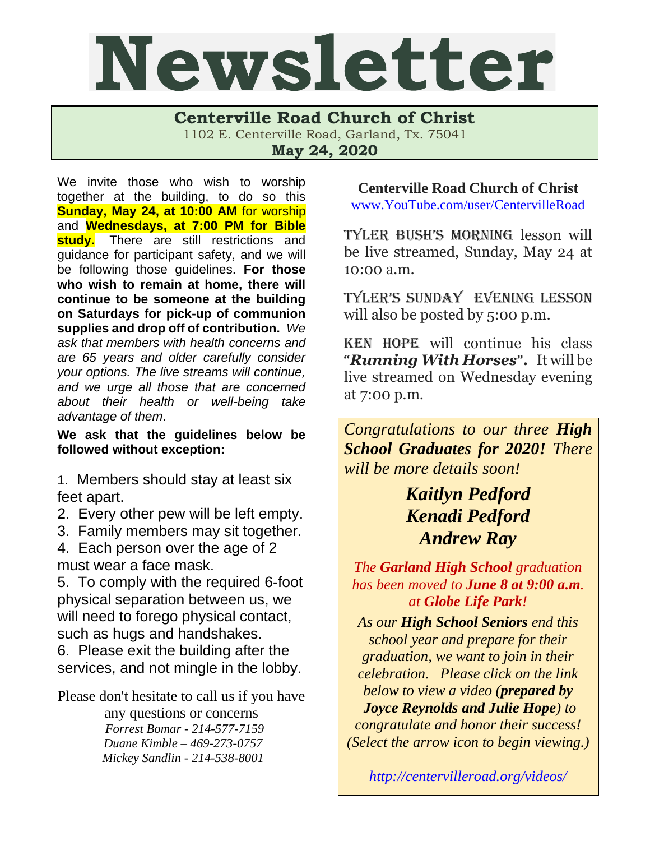## Newsletter

**Centerville Road Church of Christ** 

1102 E. Centerville Road, Garland, Tx. 75041

**May 24, 2020**

We invite those who wish to worship together at the building, to do so this **Sunday, May 24, at 10:00 AM** for worship and **Wednesdays, at 7:00 PM for Bible**  study. There are still restrictions and guidance for participant safety, and we will be following those guidelines. **For those who wish to remain at home, there will continue to be someone at the building on Saturdays for pick-up of communion supplies and drop off of contribution.** *We ask that members with health concerns and are 65 years and older carefully consider your options. The live streams will continue, and we urge all those that are concerned about their health or well-being take advantage of them*.

**We ask that the guidelines below be followed without exception:**

1. Members should stay at least six feet apart.

- 2. Every other pew will be left empty.
- 3. Family members may sit together.

4. Each person over the age of 2 must wear a face mask.

5. To comply with the required 6-foot physical separation between us, we will need to forego physical contact, such as hugs and handshakes.

6. Please exit the building after the services, and not mingle in the lobby.

Please don't hesitate to call us if you have

any questions or concerns  *Forrest Bomar - 214-577-7159 Duane Kimble – 469-273-0757 Mickey Sandlin - 214-538-8001*

**Centerville Road Church of Christ** [www.YouTube.com/user/CentervilleRoad](http://www.youtube.com/user/CentervilleRoad)

Tyler Bush's morning lesson will be live streamed, Sunday, May 24 at 10:00 a.m.

Tyler's Sunday evening lesson will also be posted by 5:00 p.m.

Ken Hope will continue his class "*Running With Horses*"**.** It will be live streamed on Wednesday evening at 7:00 p.m.

*Congratulations to our three High School Graduates for 2020! There will be more details soon!*

### *Kaitlyn Pedford Kenadi Pedford Andrew Ray*

*The Garland High School graduation has been moved to June 8 at 9:00 a.m. at Globe Life Park!* 

*As our High School Seniors end this school year and prepare for their graduation, we want to join in their celebration. Please click on the link below to view a video (prepared by Joyce Reynolds and Julie Hope) to congratulate and honor their success! (Select the arrow icon to begin viewing.)*

*<http://centervilleroad.org/videos/>*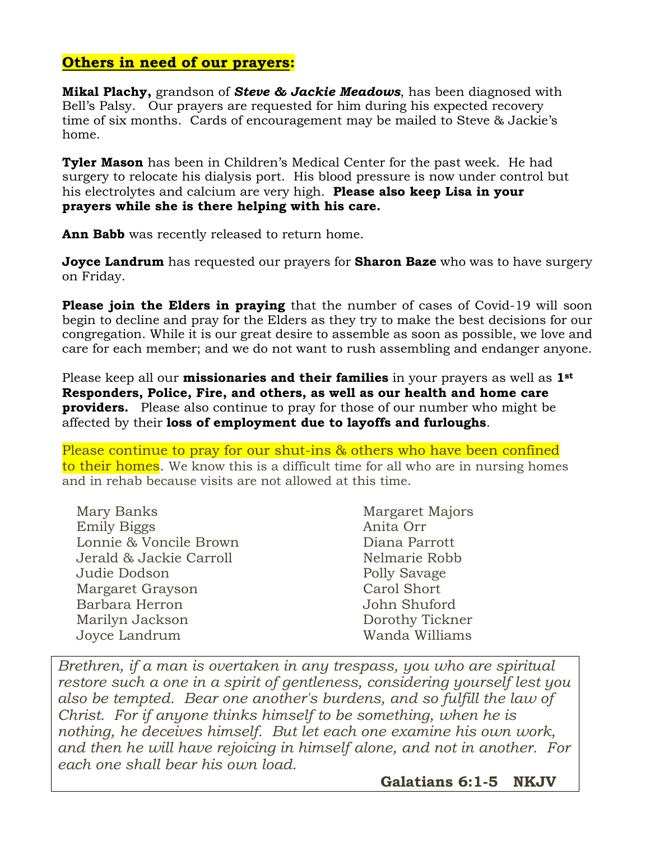#### **Others in need of our prayers:**

**Mikal Plachy,** grandson of *Steve & Jackie Meadows*, has been diagnosed with Bell's Palsy. Our prayers are requested for him during his expected recovery time of six months. Cards of encouragement may be mailed to Steve & Jackie's home.

**Tyler Mason** has been in Children's Medical Center for the past week. He had surgery to relocate his dialysis port. His blood pressure is now under control but his electrolytes and calcium are very high. **Please also keep Lisa in your prayers while she is there helping with his care.** 

**Ann Babb** was recently released to return home.

**Joyce Landrum** has requested our prayers for **Sharon Baze** who was to have surgery on Friday.

**Please join the Elders in praying** that the number of cases of Covid-19 will soon begin to decline and pray for the Elders as they try to make the best decisions for our congregation. While it is our great desire to assemble as soon as possible, we love and care for each member; and we do not want to rush assembling and endanger anyone.

Please keep all our **missionaries and their families** in your prayers as well as **1st Responders, Police, Fire, and others, as well as our health and home care providers.** Please also continue to pray for those of our number who might be affected by their **loss of employment due to layoffs and furloughs**.

Please continue to pray for our shut-ins & others who have been confined to their homes. We know this is a difficult time for all who are in nursing homes and in rehab because visits are not allowed at this time.

| Mary Banks              | Margaret Majors |
|-------------------------|-----------------|
| <b>Emily Biggs</b>      | Anita Orr       |
| Lonnie & Voncile Brown  | Diana Parrott   |
| Jerald & Jackie Carroll | Nelmarie Robb   |
| Judie Dodson            | Polly Savage    |
| Margaret Grayson        | Carol Short     |
| Barbara Herron          | John Shuford    |
| Marilyn Jackson         | Dorothy Tickner |
| Joyce Landrum           | Wanda Williams  |

*Brethren, if a man is overtaken in any trespass, you who are spiritual restore such a one in a spirit of gentleness, considering yourself lest you also be tempted. Bear one another's burdens, and so fulfill the law of Christ. For if anyone thinks himself to be something, when he is nothing, he deceives himself. But let each one examine his own work, and then he will have rejoicing in himself alone, and not in another. For each one shall bear his own load.* 

 **Galatians 6:1-5 NKJV**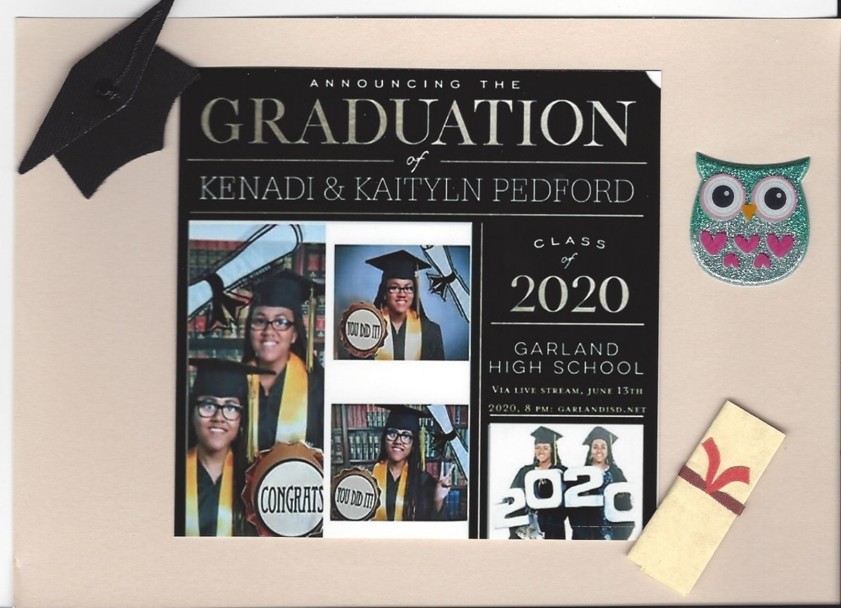







 $CLASS$  $\circ f$ 2020

GARLAND HIGH SCHOOL VIA LIVE STREAM, JUNE 13TH 2020, 8 PM: GARLANDISD.NET



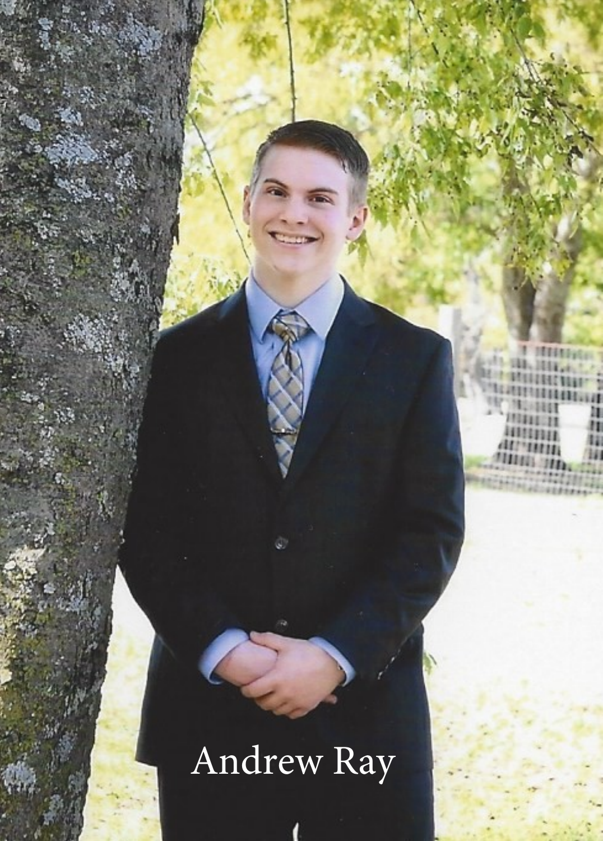#### Andrew Ray

**Hilli** ٠  $1.31.1117.$ bein stellener van **TELESTRASSERS**